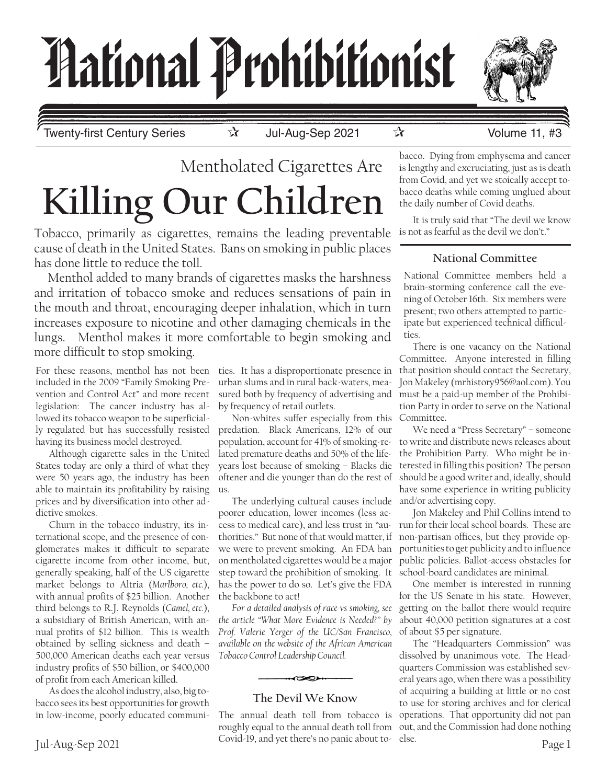# *Hational Prohibitionist*



Twenty-first Century Series ☆ Jul-Aug-Sep 2021 ☆ Volume 11, #3

# Mentholated Cigarettes Are **Killing Our Children**

Tobacco, primarily as cigarettes, remains the leading preventable cause of death in the United States. Bans on smoking in public places has done little to reduce the toll.

Menthol added to many brands of cigarettes masks the harshness and irritation of tobacco smoke and reduces sensations of pain in the mouth and throat, encouraging deeper inhalation, which in turn increases exposure to nicotine and other damaging chemicals in the lungs. Menthol makes it more comfortable to begin smoking and more difficult to stop smoking.

For these reasons, menthol has not been ties. It has a disproportionate presence in included in the 2009 "Family Smoking Prevention and Control Act" and more recent legislation: The cancer industry has allowed its tobacco weapon to be superficially regulated but has successfully resisted having its business model destroyed.

Although cigarette sales in the United States today are only a third of what they were 50 years ago, the industry has been able to maintain its profitability by raising prices and by diversification into other addictive smokes.

Churn in the tobacco industry, its international scope, and the presence of conglomerates makes it difficult to separate cigarette income from other income, but, generally speaking, half of the US cigarette market belongs to Altria (*Marlboro, etc.*), with annual profits of \$25 billion. Another third belongs to R.J. Reynolds (*Camel, etc.*), a subsidiary of British American, with annual profits of \$12 billion. This is wealth obtained by selling sickness and death – 500,000 American deaths each year versus industry profits of \$50 billion, or \$400,000 of profit from each American killed.

As does the alcohol industry, also, big tobacco sees its best opportunities for growth in low-income, poorly educated communi-

sured both by frequency of advertising and must be a paid-up member of the Prohibiurban slums and in rural back-waters, meaby frequency of retail outlets.

Non-whites suffer especially from this predation. Black Americans, 12% of our population, account for 41% of smoking-related premature deaths and 50% of the lifeyears lost because of smoking – Blacks die oftener and die younger than do the rest of us.

thorities." But none of that would matter, if non-partisan offices, but they provide op-The underlying cultural causes include poorer education, lower incomes (less access to medical care), and less trust in "auwe were to prevent smoking. An FDA ban on mentholated cigarettes would be a major step toward the prohibition of smoking. It has the power to do so. Let's give the FDA the backbone to act!

*For a detailed analysis of race vs smoking, see the article "What More Evidence is Needed?" by Prof. Valerie Yerger of the UC/San Francisco, available on the website of the African American Tobacco Control Leadership Council.*

## **The Devil We Know**

 $\overline{\bullet}$ 

Jul-Aug-Sep 2021 Covid-19, and yet there s no paint about to exist. roughly equal to the annual death toll from Covid-19, and yet there's no panic about to-

bacco. Dying from emphysema and cancer is lengthy and excruciating, just as is death from Covid, and yet we stoically accept tobacco deaths while coming unglued about the daily number of Covid deaths.

It is truly said that "The devil we know is not as fearful as the devil we don't."

#### **National Committee**

National Committee members held a brain-storming conference call the evening of October 16th. Six members were present; two others attempted to participate but experienced technical difficulties.

There is one vacancy on the National Committee. Anyone interested in filling that position should contact the Secretary, Jon Makeley (mrhistory956@aol.com). You tion Party in order to serve on the National Committee.

We need a "Press Secretary" – someone to write and distribute news releases about the Prohibition Party. Who might be interested in filling this position? The person should be a good writer and, ideally, should have some experience in writing publicity and/or advertising copy.

Jon Makeley and Phil Collins intend to run for their local school boards. These are portunities to get publicity and to influence public policies. Ballot-access obstacles for school-board candidates are minimal.

One member is interested in running for the US Senate in his state. However, getting on the ballot there would require about 40,000 petition signatures at a cost of about \$5 per signature.

The "Headquarters Commission" was dissolved by unanimous vote. The Headquarters Commission was established several years ago, when there was a possibility of acquiring a building at little or no cost to use for storing archives and for clerical The annual death toll from tobacco is operations. That opportunity did not pan out, and the Commission had done nothing else.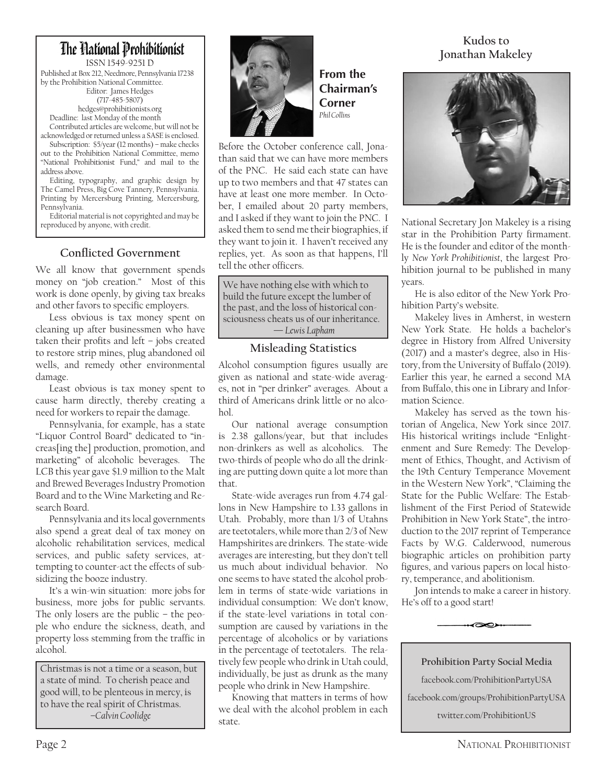# The Hational Prohibitionist

ISSN 1549-9251 D Published at Box 212, Needmore, Pennsylvania 17238 by the Prohibition National Committee. Editor: James Hedges (717-485-5807) hedges@prohibitionists.org

Deadline: last Monday of the month Contributed articles are welcome, but will not be acknowledged or returned unless a SASE is enclosed.

Subscription: \$5/year (12 months) – make checks out to the Prohibition National Committee, memo "National Prohibitionist Fund," and mail to the address above.

Editing, typography, and graphic design by The Camel Press, Big Cove Tannery, Pennsylvania. Printing by Mercersburg Printing, Mercersburg, Pennsylvania.

Editorial material is not copyrighted and may be reproduced by anyone, with credit.

### **Conflicted Government**

We all know that government spends money on "job creation." Most of this work is done openly, by giving tax breaks and other favors to specific employers.

Less obvious is tax money spent on cleaning up after businessmen who have taken their profits and left – jobs created to restore strip mines, plug abandoned oil wells, and remedy other environmental damage.

Least obvious is tax money spent to cause harm directly, thereby creating a need for workers to repair the damage.

Pennsylvania, for example, has a state "Liquor Control Board" dedicated to "increas[ing the] production, promotion, and marketing" of alcoholic beverages. The LCB this year gave \$1.9 million to the Malt and Brewed Beverages Industry Promotion Board and to the Wine Marketing and Research Board.

Pennsylvania and its local governments also spend a great deal of tax money on alcoholic rehabilitation services, medical services, and public safety services, attempting to counter-act the effects of subsidizing the booze industry.

It's a win-win situation: more jobs for business, more jobs for public servants. The only losers are the public – the people who endure the sickness, death, and property loss stemming from the traffic in alcohol.

Christmas is not a time or a season, but a state of mind. To cherish peace and good will, to be plenteous in mercy, is to have the real spirit of Christmas. *–Calvin Coolidge*



**From the Chairman's Corner** *Phil Collins*

Before the October conference call, Jonathan said that we can have more members of the PNC. He said each state can have up to two members and that 47 states can have at least one more member. In October, I emailed about 20 party members, and I asked if they want to join the PNC. I asked them to send me their biographies, if they want to join it. I haven't received any replies, yet. As soon as that happens, I'll tell the other officers.

We have nothing else with which to build the future except the lumber of the past, and the loss of historical consciousness cheats us of our inheritance. *— Lewis Lapham*

#### **Misleading Statistics**

Alcohol consumption figures usually are given as national and state-wide averages, not in "per drinker" averages. About a third of Americans drink little or no alcohol.

Our national average consumption is 2.38 gallons/year, but that includes non-drinkers as well as alcoholics. The two-thirds of people who do all the drinking are putting down quite a lot more than that.

State-wide averages run from 4.74 gallons in New Hampshire to 1.33 gallons in Utah. Probably, more than 1/3 of Utahns are teetotalers, while more than 2/3 of New Hampshirites are drinkers. The state-wide averages are interesting, but they don't tell us much about individual behavior. No one seems to have stated the alcohol problem in terms of state-wide variations in individual consumption: We don't know, if the state-level variations in total consumption are caused by variations in the percentage of alcoholics or by variations in the percentage of teetotalers. The relatively few people who drink in Utah could, individually, be just as drunk as the many people who drink in New Hampshire.

Knowing that matters in terms of how we deal with the alcohol problem in each state.

# **Kudos to Jonathan Makeley**



National Secretary Jon Makeley is a rising star in the Prohibition Party firmament. He is the founder and editor of the monthly *New York Prohibitionist*, the largest Prohibition journal to be published in many years.

He is also editor of the New York Prohibition Party's website.

Makeley lives in Amherst, in western New York State. He holds a bachelor's degree in History from Alfred University (2017) and a master's degree, also in History, from the University of Buffalo (2019). Earlier this year, he earned a second MA from Buffalo, this one in Library and Information Science.

Makeley has served as the town historian of Angelica, New York since 2017. His historical writings include "Enlightenment and Sure Remedy: The Development of Ethics, Thought, and Activism of the 19th Century Temperance Movement in the Western New York", "Claiming the State for the Public Welfare: The Establishment of the First Period of Statewide Prohibition in New York State", the introduction to the 2017 reprint of Temperance Facts by W.G. Calderwood, numerous biographic articles on prohibition party figures, and various papers on local history, temperance, and abolitionism.

Jon intends to make a career in history. He's off to a good start!

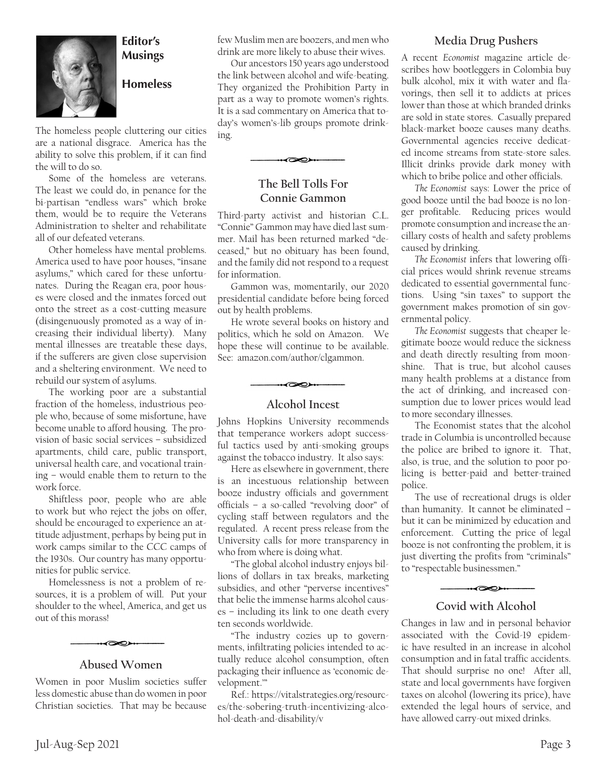

#### **Editor's Musings**

#### **Homeless**

The homeless people cluttering our cities are a national disgrace. America has the ability to solve this problem, if it can find the will to do so.

Some of the homeless are veterans. The least we could do, in penance for the bi-partisan "endless wars" which broke them, would be to require the Veterans Administration to shelter and rehabilitate all of our defeated veterans.

Other homeless have mental problems. America used to have poor houses, "insane asylums," which cared for these unfortunates. During the Reagan era, poor houses were closed and the inmates forced out onto the street as a cost-cutting measure (disingenuously promoted as a way of increasing their individual liberty). Many mental illnesses are treatable these days, if the sufferers are given close supervision and a sheltering environment. We need to rebuild our system of asylums.

The working poor are a substantial fraction of the homeless, industrious people who, because of some misfortune, have become unable to afford housing. The provision of basic social services – subsidized apartments, child care, public transport, universal health care, and vocational training – would enable them to return to the work force.

Shiftless poor, people who are able to work but who reject the jobs on offer, should be encouraged to experience an attitude adjustment, perhaps by being put in work camps similar to the CCC camps of the 1930s. Our country has many opportunities for public service.

Homelessness is not a problem of resources, it is a problem of will. Put your shoulder to the wheel, America, and get us out of this morass!



#### **Abused Women**

Women in poor Muslim societies suffer less domestic abuse than do women in poor Christian societies. That may be because few Muslim men are boozers, and men who drink are more likely to abuse their wives.

Our ancestors 150 years ago understood the link between alcohol and wife-beating. They organized the Prohibition Party in part as a way to promote women's rights. It is a sad commentary on America that today's women's-lib groups promote drinking.



#### **The Bell Tolls For Connie Gammon**

Third-party activist and historian C.L. "Connie" Gammon may have died last summer. Mail has been returned marked "deceased," but no obituary has been found, and the family did not respond to a request for information.

Gammon was, momentarily, our 2020 presidential candidate before being forced out by health problems.

He wrote several books on history and politics, which he sold on Amazon. We hope these will continue to be available. See: amazon.com/author/clgammon.

#### **Alcohol Incest**

 $\overline{\bullet}$ 

Johns Hopkins University recommends that temperance workers adopt successful tactics used by anti-smoking groups against the tobacco industry. It also says:

Here as elsewhere in government, there is an incestuous relationship between booze industry officials and government officials – a so-called "revolving door" of cycling staff between regulators and the regulated. A recent press release from the University calls for more transparency in who from where is doing what.

"The global alcohol industry enjoys billions of dollars in tax breaks, marketing subsidies, and other "perverse incentives" that belie the immense harms alcohol causes – including its link to one death every ten seconds worldwide.

"The industry cozies up to governments, infiltrating policies intended to actually reduce alcohol consumption, often packaging their influence as 'economic development.'"

Ref.: https://vitalstrategies.org/resources/the-sobering-truth-incentivizing-alcohol-death-and-disability/v

#### **Media Drug Pushers**

A recent *Economist* magazine article describes how bootleggers in Colombia buy bulk alcohol, mix it with water and flavorings, then sell it to addicts at prices lower than those at which branded drinks are sold in state stores. Casually prepared black-market booze causes many deaths. Governmental agencies receive dedicated income streams from state-store sales. Illicit drinks provide dark money with which to bribe police and other officials.

*The Economist* says: Lower the price of good booze until the bad booze is no longer profitable. Reducing prices would promote consumption and increase the ancillary costs of health and safety problems caused by drinking.

*The Economist* infers that lowering official prices would shrink revenue streams dedicated to essential governmental functions. Using "sin taxes" to support the government makes promotion of sin governmental policy.

*The Economist* suggests that cheaper legitimate booze would reduce the sickness and death directly resulting from moonshine. That is true, but alcohol causes many health problems at a distance from the act of drinking, and increased consumption due to lower prices would lead to more secondary illnesses.

The Economist states that the alcohol trade in Columbia is uncontrolled because the police are bribed to ignore it. That, also, is true, and the solution to poor policing is better-paid and better-trained police.

The use of recreational drugs is older than humanity. It cannot be eliminated – but it can be minimized by education and enforcement. Cutting the price of legal booze is not confronting the problem, it is just diverting the profits from "criminals" to "respectable businessmen."

#### **Covid with Alcohol**

 $\overline{\infty}$ 

Changes in law and in personal behavior associated with the Covid-19 epidemic have resulted in an increase in alcohol consumption and in fatal traffic accidents. That should surprise no one! After all, state and local governments have forgiven taxes on alcohol (lowering its price), have extended the legal hours of service, and have allowed carry-out mixed drinks.